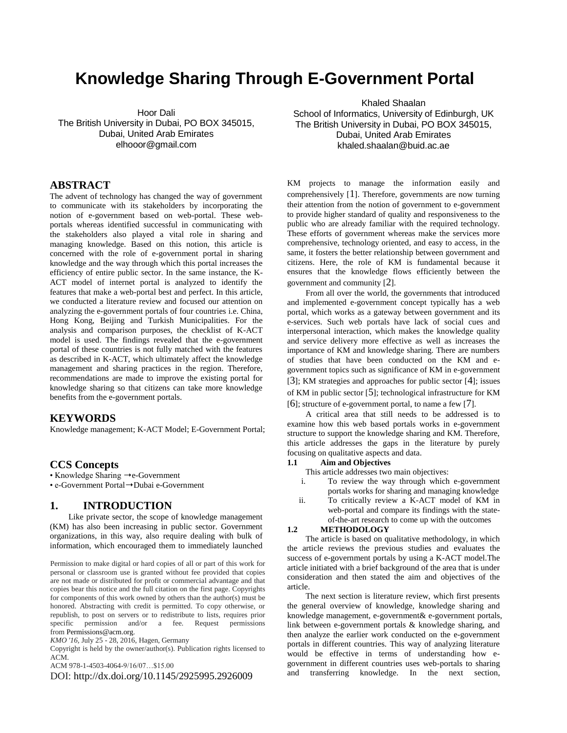# **Knowledge Sharing Through E-Government Portal**

Hoor Dali The British University in Dubai, PO BOX 345015, Dubai, United Arab Emirates elhooor@gmail.com

# **ABSTRACT**

The advent of technology has changed the way of government to communicate with its stakeholders by incorporating the notion of e-government based on web-portal. These webportals whereas identified successful in communicating with the stakeholders also played a vital role in sharing and managing knowledge. Based on this notion, this article is concerned with the role of e-government portal in sharing knowledge and the way through which this portal increases the efficiency of entire public sector. In the same instance, the K-ACT model of internet portal is analyzed to identify the features that make a web-portal best and perfect. In this article, we conducted a literature review and focused our attention on analyzing the e-government portals of four countries i.e. China, Hong Kong, Beijing and Turkish Municipalities. For the analysis and comparison purposes, the checklist of K-ACT model is used. The findings revealed that the e-government portal of these countries is not fully matched with the features as described in K-ACT, which ultimately affect the knowledge management and sharing practices in the region. Therefore, recommendations are made to improve the existing portal for knowledge sharing so that citizens can take more knowledge benefits from the e-government portals.

# **KEYWORDS**

Knowledge management; K-ACT Model; E-Government Portal;

# **CCS Concepts**

• Knowledge Sharing  $\rightarrow$  e-Government

• e-Government Portal➝ Dubai e-Government

# **1. INTRODUCTION**

Like private sector, the scope of knowledge management (KM) has also been increasing in public sector. Government organizations, in this way, also require dealing with bulk of information, which encouraged them to immediately launched

Permission to make digital or hard copies of all or part of this work for personal or classroom use is granted without fee provided that copies are not made or distributed for profit or commercial advantage and that copies bear this notice and the full citation on the first page. Copyrights for components of this work owned by others than the author(s) must be honored. Abstracting with credit is permitted. To copy otherwise, or republish, to post on servers or to redistribute to lists, requires prior specific permission and/or a fee. Request permissions from Permissions@acm.org.

*KMO '16,* July 25 - 28, 2016, Hagen, Germany

Copyright is held by the owner/author(s). Publication rights licensed to ACM.

ACM 978-1-4503-4064-9/16/07…\$15.00

DOI: http://dx.doi.org/10.1145/2925995.2926009

Khaled Shaalan School of Informatics, University of Edinburgh, UK The British University in Dubai, PO BOX 345015, Dubai, United Arab Emirates khaled.shaalan@buid.ac.ae

KM projects to manage the information easily and comprehensively [[1](#page-5-0)]. Therefore, governments are now turning their attention from the notion of government to e-government to provide higher standard of quality and responsiveness to the public who are already familiar with the required technology. These efforts of government whereas make the services more comprehensive, technology oriented, and easy to access, in the same, it fosters the better relationship between government and citizens. Here, the role of KM is fundamental because it ensures that the knowledge flows efficiently between the government and community [[2](#page-5-1)].

From all over the world, the governments that introduced and implemented e-government concept typically has a web portal, which works as a gateway between government and its e-services. Such web portals have lack of social cues and interpersonal interaction, which makes the knowledge quality and service delivery more effective as well as increases the importance of KM and knowledge sharing. There are numbers of studies that have been conducted on the KM and egovernment topics such as significance of KM in e-government [[3](#page-5-2)]; KM strategies and approaches for public sector [[4](#page-5-3)]; issues of KM in public sector [[5](#page-5-4)]; technological infrastructure for KM [[6](#page-5-5)]; structure of e-government portal, to name a few [[7](#page-5-6)].

A critical area that still needs to be addressed is to examine how this web based portals works in e-government structure to support the knowledge sharing and KM. Therefore, this article addresses the gaps in the literature by purely focusing on qualitative aspects and data.

#### **1.1 Aim and Objectives**

This article addresses two main objectives:

- i. To review the way through which e-government portals works for sharing and managing knowledge
- ii. To critically review a K-ACT model of KM in web-portal and compare its findings with the stateof-the-art research to come up with the outcomes

#### **1.2 METHODOLOGY**

The article is based on qualitative methodology, in which the article reviews the previous studies and evaluates the success of e-government portals by using a K-ACT model.The article initiated with a brief background of the area that is under consideration and then stated the aim and objectives of the article.

The next section is literature review, which first presents the general overview of knowledge, knowledge sharing and knowledge management, e-government& e-government portals, link between e-government portals & knowledge sharing, and then analyze the earlier work conducted on the e-government portals in different countries. This way of analyzing literature would be effective in terms of understanding how egovernment in different countries uses web-portals to sharing and transferring knowledge. In the next section,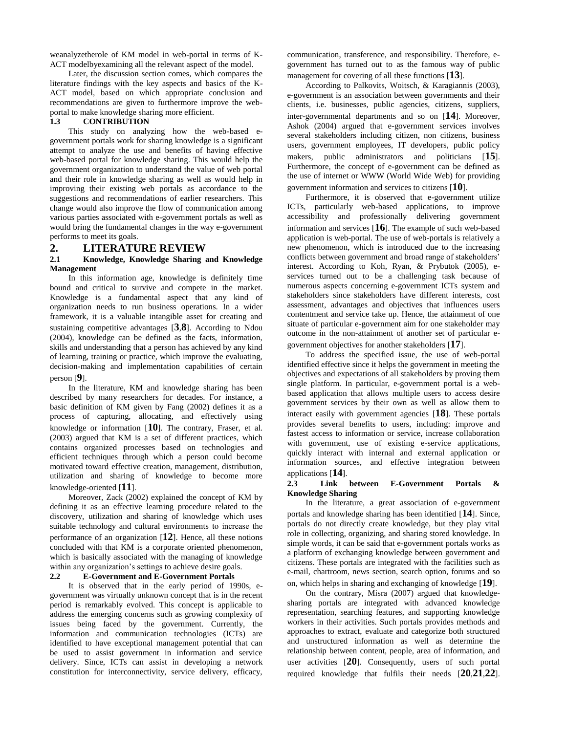weanalyzetherole of KM model in web-portal in terms of K-ACT modelbyexamining all the relevant aspect of the model.

Later, the discussion section comes, which compares the literature findings with the key aspects and basics of the K-ACT model, based on which appropriate conclusion and recommendations are given to furthermore improve the webportal to make knowledge sharing more efficient.

#### **1.3 CONTRIBUTION**

This study on analyzing how the web-based egovernment portals work for sharing knowledge is a significant attempt to analyze the use and benefits of having effective web-based portal for knowledge sharing. This would help the government organization to understand the value of web portal and their role in knowledge sharing as well as would help in improving their existing web portals as accordance to the suggestions and recommendations of earlier researchers. This change would also improve the flow of communication among various parties associated with e-government portals as well as would bring the fundamental changes in the way e-government performs to meet its goals.

#### **2. LITERATURE REVIEW**

#### **2.1 Knowledge, Knowledge Sharing and Knowledge Management**

In this information age, knowledge is definitely time bound and critical to survive and compete in the market. Knowledge is a fundamental aspect that any kind of organization needs to run business operations. In a wider framework, it is a valuable intangible asset for creating and sustaining competitive advantages [**[3](#page-5-2)**,**[8](#page-5-7)**]. According to Ndou (2004), knowledge can be defined as the facts, information, skills and understanding that a person has achieved by any kind of learning, training or practice, which improve the evaluating, decision-making and implementation capabilities of certain person [**[9](#page-5-8)**].

In the literature, KM and knowledge sharing has been described by many researchers for decades. For instance, a basic definition of KM given by Fang (2002) defines it as a process of capturing, allocating, and effectively using knowledge or information [**[10](#page-5-9)**]. The contrary, Fraser, et al. (2003) argued that KM is a set of different practices, which contains organized processes based on technologies and efficient techniques through which a person could become motivated toward effective creation, management, distribution, utilization and sharing of knowledge to become more knowledge-oriented [**[11](#page-5-10)**].

Moreover, Zack (2002) explained the concept of KM by defining it as an effective learning procedure related to the discovery, utilization and sharing of knowledge which uses suitable technology and cultural environments to increase the performance of an organization [**[12](#page-5-11)**]. Hence, all these notions concluded with that KM is a corporate oriented phenomenon, which is basically associated with the managing of knowledge within any organization's settings to achieve desire goals.

# **2.2 E-Government and E-Government Portals**

It is observed that in the early period of 1990s, egovernment was virtually unknown concept that is in the recent period is remarkably evolved. This concept is applicable to address the emerging concerns such as growing complexity of issues being faced by the government. Currently, the information and communication technologies (ICTs) are identified to have exceptional management potential that can be used to assist government in information and service delivery. Since, ICTs can assist in developing a network constitution for interconnectivity, service delivery, efficacy, communication, transference, and responsibility. Therefore, egovernment has turned out to as the famous way of public management for covering of all these functions [**[13](#page-5-12)**].

According to Palkovits, Woitsch, & Karagiannis (2003), e-government is an association between governments and their clients, i.e. businesses, public agencies, citizens, suppliers, inter-governmental departments and so on [**[14](#page-5-13)**]. Moreover, Ashok (2004) argued that e-government services involves several stakeholders including citizen, non citizens, business users, government employees, IT developers, public policy makers, public administrators and politicians [**[15](#page-5-14)**]. Furthermore, the concept of e-government can be defined as the use of internet or WWW (World Wide Web) for providing government information and services to citizens [**[10](#page-5-9)**].

Furthermore, it is observed that e-government utilize ICTs, particularly web-based applications, to improve accessibility and professionally delivering government information and services [**[16](#page-5-15)**]. The example of such web-based application is web-portal. The use of web-portals is relatively a new phenomenon, which is introduced due to the increasing conflicts between government and broad range of stakeholders' interest. According to Koh, Ryan, & Prybutok (2005), eservices turned out to be a challenging task because of numerous aspects concerning e-government ICTs system and stakeholders since stakeholders have different interests, cost assessment, advantages and objectives that influences users contentment and service take up. Hence, the attainment of one situate of particular e-government aim for one stakeholder may outcome in the non-attainment of another set of particular egovernment objectives for another stakeholders [**[17](#page-5-16)**].

To address the specified issue, the use of web-portal identified effective since it helps the government in meeting the objectives and expectations of all stakeholders by proving them single platform. In particular, e-government portal is a webbased application that allows multiple users to access desire government services by their own as well as allow them to interact easily with government agencies [**[18](#page-5-17)**]. These portals provides several benefits to users, including: improve and fastest access to information or service, increase collaboration with government, use of existing e-service applications, quickly interact with internal and external application or information sources, and effective integration between applications [**[14](#page-5-13)**].

## **2.3 Link between E-Government Portals & Knowledge Sharing**

In the literature, a great association of e-government portals and knowledge sharing has been identified [**[14](#page-5-13)**]. Since, portals do not directly create knowledge, but they play vital role in collecting, organizing, and sharing stored knowledge. In simple words, it can be said that e-government portals works as a platform of exchanging knowledge between government and citizens. These portals are integrated with the facilities such as e-mail, chartroom, news section, search option, forums and so on, which helps in sharing and exchanging of knowledge [**[19](#page-5-18)**].

On the contrary, Misra (2007) argued that knowledgesharing portals are integrated with advanced knowledge representation, searching features, and supporting knowledge workers in their activities. Such portals provides methods and approaches to extract, evaluate and categorize both structured and unstructured information as well as determine the relationship between content, people, area of information, and user activities [**[20](#page-5-19)**]. Consequently, users of such portal required knowledge that fulfils their needs [**[20](#page-5-19)**,**[21](#page-5-20)**,**[22](#page-5-21)**].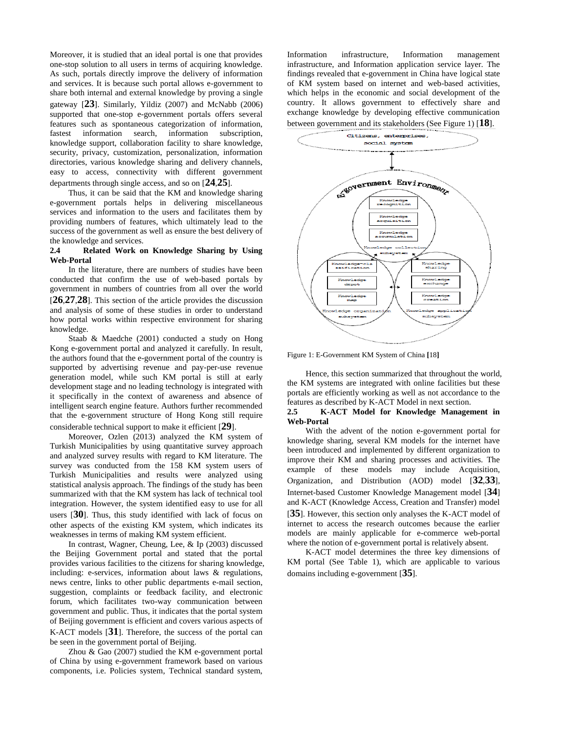Moreover, it is studied that an ideal portal is one that provides one-stop solution to all users in terms of acquiring knowledge. As such, portals directly improve the delivery of information and services. It is because such portal allows e-government to share both internal and external knowledge by proving a single gateway [**[23](#page-5-22)**]. Similarly, Yildiz (2007) and McNabb (2006) supported that one-stop e-government portals offers several features such as spontaneous categorization of information, fastest information search, information subscription, knowledge support, collaboration facility to share knowledge, security, privacy, customization, personalization, information directories, various knowledge sharing and delivery channels, easy to access, connectivity with different government departments through single access, and so on [**[24](#page-5-23)**,**[25](#page-5-24)**].

Thus, it can be said that the KM and knowledge sharing e-government portals helps in delivering miscellaneous services and information to the users and facilitates them by providing numbers of features, which ultimately lead to the success of the government as well as ensure the best delivery of the knowledge and services.

# **2.4 Related Work on Knowledge Sharing by Using Web-Portal**

In the literature, there are numbers of studies have been conducted that confirm the use of web-based portals by government in numbers of countries from all over the world [**[26](#page-5-25)**,**[27](#page-5-26)**,**[28](#page-5-27)**]. This section of the article provides the discussion and analysis of some of these studies in order to understand how portal works within respective environment for sharing knowledge.

Staab & Maedche (2001) conducted a study on Hong Kong e-government portal and analyzed it carefully. In result, the authors found that the e-government portal of the country is supported by advertising revenue and pay-per-use revenue generation model, while such KM portal is still at early development stage and no leading technology is integrated with it specifically in the context of awareness and absence of intelligent search engine feature. Authors further recommended that the e-government structure of Hong Kong still require considerable technical support to make it efficient [**[29](#page-6-0)**].

Moreover, Ozlen (2013) analyzed the KM system of Turkish Municipalities by using quantitative survey approach and analyzed survey results with regard to KM literature. The survey was conducted from the 158 KM system users of Turkish Municipalities and results were analyzed using statistical analysis approach. The findings of the study has been summarized with that the KM system has lack of technical tool integration. However, the system identified easy to use for all users [**[30](#page-6-1)**]. Thus, this study identified with lack of focus on other aspects of the existing KM system, which indicates its weaknesses in terms of making KM system efficient.

In contrast, Wagner, Cheung, Lee, & Ip (2003) discussed the Beijing Government portal and stated that the portal provides various facilities to the citizens for sharing knowledge, including: e-services, information about laws & regulations, news centre, links to other public departments e-mail section, suggestion, complaints or feedback facility, and electronic forum, which facilitates two-way communication between government and public. Thus, it indicates that the portal system of Beijing government is efficient and covers various aspects of K-ACT models [**[31](#page-6-2)**]. Therefore, the success of the portal can be seen in the government portal of Beijing.

Zhou & Gao (2007) studied the KM e-government portal of China by using e-government framework based on various components, i.e. Policies system, Technical standard system, Information infrastructure, Information management infrastructure, and Information application service layer. The findings revealed that e-government in China have logical state of KM system based on internet and web-based activities, which helps in the economic and social development of the country. It allows government to effectively share and exchange knowledge by developing effective communication between government and its stakeholders (See Figure 1) [**[18](#page-5-17)**].



Figure 1: E-Government KM System of China **[**[18](#page-5-17)**]**

Hence, this section summarized that throughout the world, the KM systems are integrated with online facilities but these portals are efficiently working as well as not accordance to the features as described by K-ACT Model in next section.

#### **2.5 K-ACT Model for Knowledge Management in Web-Portal**

With the advent of the notion e-government portal for knowledge sharing, several KM models for the internet have been introduced and implemented by different organization to improve their KM and sharing processes and activities. The example of these models may include Acquisition, Organization, and Distribution (AOD) model [**[32](#page-6-3)**,**[33](#page-6-4)**], Internet-based Customer Knowledge Management model [**[34](#page-6-5)**] and K-ACT (Knowledge Access, Creation and Transfer) model [[35](#page-6-6)]. However, this section only analyses the K-ACT model of internet to access the research outcomes because the earlier models are mainly applicable for e-commerce web-portal where the notion of e-government portal is relatively absent.

K-ACT model determines the three key dimensions of KM portal (See Table 1), which are applicable to various domains including e-government [**[35](#page-6-6)**].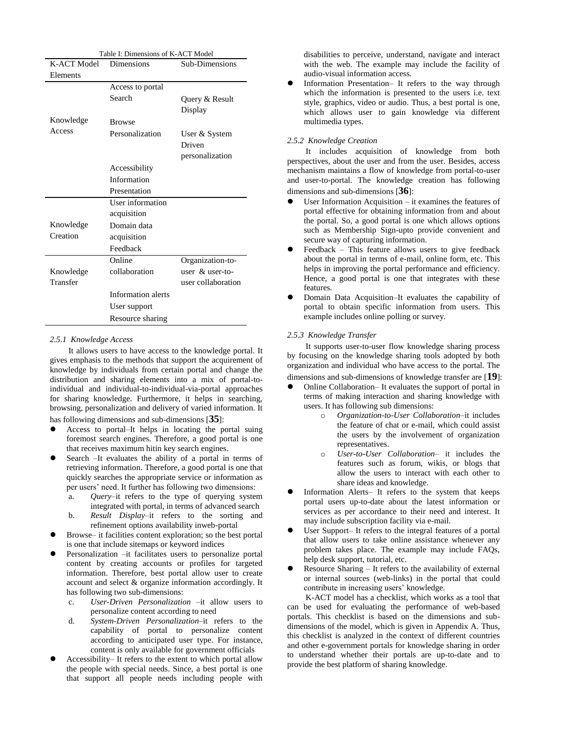| K-ACT Model | Dimensions         | Sub-Dimensions     |
|-------------|--------------------|--------------------|
| Elements    |                    |                    |
|             | Access to portal   |                    |
|             | Search             | Query & Result     |
|             |                    | Display            |
| Knowledge   | <b>Browse</b>      |                    |
| Access      | Personalization    | User & System      |
|             |                    | Driven             |
|             |                    | personalization    |
|             | Accessibility      |                    |
|             | Information        |                    |
|             | Presentation       |                    |
|             | User information   |                    |
|             | acquisition        |                    |
| Knowledge   | Domain data        |                    |
| Creation    | acquisition        |                    |
|             | Feedback           |                    |
|             | Online             | Organization-to-   |
| Knowledge   | collaboration      | user & user-to-    |
| Transfer    |                    | user collaboration |
|             | Information alerts |                    |
|             | User support       |                    |
|             | Resource sharing   |                    |

## *2.5.1 Knowledge Access*

It allows users to have access to the knowledge portal. It gives emphasis to the methods that support the acquirement of knowledge by individuals from certain portal and change the distribution and sharing elements into a mix of portal-toindividual and individual-to-individual-via-portal approaches for sharing knowledge. Furthermore, it helps in searching, browsing, personalization and delivery of varied information. It has following dimensions and sub-dimensions [**[35](#page-6-6)**]:

- Access to portal–It helps in locating the portal suing foremost search engines. Therefore, a good portal is one that receives maximum hitin key search engines.
- Search –It evaluates the ability of a portal in terms of retrieving information. Therefore, a good portal is one that quickly searches the appropriate service or information as per users' need. It further has following two dimensions:
	- a. *Query*–it refers to the type of querying system integrated with portal, in terms of advanced search b. *Result Display*–it refers to the sorting and
	- refinement options availability inweb-portal
- Browse– it facilities content exploration; so the best portal is one that include sitemaps or keyword indices
- Personalization –it facilitates users to personalize portal content by creating accounts or profiles for targeted information. Therefore, best portal allow user to create account and select & organize information accordingly. It has following two sub-dimensions:
	- c. *User-Driven Personalization* –it allow users to personalize content according to need
	- d. *System-Driven Personalization*–it refers to the capability of portal to personalize content according to anticipated user type. For instance, content is only available for government officials
- Accessibility– It refers to the extent to which portal allow the people with special needs. Since, a best portal is one that support all people needs including people with

disabilities to perceive, understand, navigate and interact with the web. The example may include the facility of audio-visual information access.

 Information Presentation– It refers to the way through which the information is presented to the users i.e. text style, graphics, video or audio. Thus, a best portal is one, which allows user to gain knowledge via different multimedia types.

#### *2.5.2 Knowledge Creation*

It includes acquisition of knowledge from both perspectives, about the user and from the user. Besides, access mechanism maintains a flow of knowledge from portal-to-user and user-to-portal. The knowledge creation has following dimensions and sub-dimensions [**[36](#page-6-7)**]:

- User Information Acquisition it examines the features of portal effective for obtaining information from and about the portal. So, a good portal is one which allows options such as Membership Sign-upto provide convenient and secure way of capturing information.
- Feedback This feature allows users to give feedback about the portal in terms of e-mail, online form, etc. This helps in improving the portal performance and efficiency. Hence, a good portal is one that integrates with these features.
- Domain Data Acquisition–It evaluates the capability of portal to obtain specific information from users. This example includes online polling or survey.

#### *2.5.3 Knowledge Transfer*

It supports user-to-user flow knowledge sharing process by focusing on the knowledge sharing tools adopted by both organization and individual who have access to the portal. The

dimensions and sub-dimensions of knowledge transfer are [**[19](#page-5-18)**]:

- Online Collaboration– It evaluates the support of portal in terms of making interaction and sharing knowledge with users. It has following sub dimensions:
	- o *Organization-to-User Collaboration*–it includes the feature of chat or e-mail, which could assist the users by the involvement of organization representatives.
	- o *User-to-User Collaboration* it includes the features such as forum, wikis, or blogs that allow the users to interact with each other to share ideas and knowledge.
- Information Alerts– It refers to the system that keeps portal users up-to-date about the latest information or services as per accordance to their need and interest. It may include subscription facility via e-mail.
- User Support– It refers to the integral features of a portal that allow users to take online assistance whenever any problem takes place. The example may include FAQs, help desk support, tutorial, etc.
- Resource Sharing It refers to the availability of external or internal sources (web-links) in the portal that could contribute in increasing users' knowledge.

K-ACT model has a checklist, which works as a tool that can be used for evaluating the performance of web-based portals. This checklist is based on the dimensions and subdimensions of the model, which is given in Appendix A. Thus, this checklist is analyzed in the context of different countries and other e-government portals for knowledge sharing in order to understand whether their portals are up-to-date and to provide the best platform of sharing knowledge.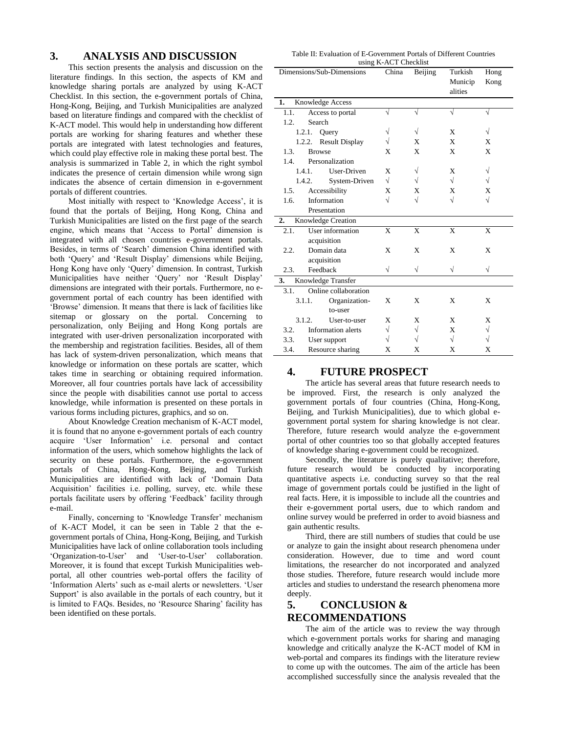# **3. ANALYSIS AND DISCUSSION**

This section presents the analysis and discussion on the literature findings. In this section, the aspects of KM and knowledge sharing portals are analyzed by using K-ACT Checklist. In this section, the e-government portals of China, Hong-Kong, Beijing, and Turkish Municipalities are analyzed based on literature findings and compared with the checklist of K-ACT model. This would help in understanding how different portals are working for sharing features and whether these portals are integrated with latest technologies and features, which could play effective role in making these portal best. The analysis is summarized in Table 2, in which the right symbol indicates the presence of certain dimension while wrong sign indicates the absence of certain dimension in e-government portals of different countries.

Most initially with respect to 'Knowledge Access', it is found that the portals of Beijing, Hong Kong, China and Turkish Municipalities are listed on the first page of the search engine, which means that 'Access to Portal' dimension is integrated with all chosen countries e-government portals. Besides, in terms of 'Search' dimension China identified with both 'Query' and 'Result Display' dimensions while Beijing, Hong Kong have only 'Query' dimension. In contrast, Turkish Municipalities have neither 'Query' nor 'Result Display' dimensions are integrated with their portals. Furthermore, no egovernment portal of each country has been identified with 'Browse' dimension. It means that there is lack of facilities like sitemap or glossary on the portal. Concerning to personalization, only Beijing and Hong Kong portals are integrated with user-driven personalization incorporated with the membership and registration facilities. Besides, all of them has lack of system-driven personalization, which means that knowledge or information on these portals are scatter, which takes time in searching or obtaining required information. Moreover, all four countries portals have lack of accessibility since the people with disabilities cannot use portal to access knowledge, while information is presented on these portals in various forms including pictures, graphics, and so on.

About Knowledge Creation mechanism of K-ACT model, it is found that no anyone e-government portals of each country acquire 'User Information' i.e. personal and contact information of the users, which somehow highlights the lack of security on these portals. Furthermore, the e-government portals of China, Hong-Kong, Beijing, and Turkish Municipalities are identified with lack of 'Domain Data Acquisition' facilities i.e. polling, survey, etc. while these portals facilitate users by offering 'Feedback' facility through e-mail.

Finally, concerning to 'Knowledge Transfer' mechanism of K-ACT Model, it can be seen in Table 2 that the egovernment portals of China, Hong-Kong, Beijing, and Turkish Municipalities have lack of online collaboration tools including 'Organization-to-User' and 'User-to-User' collaboration. Moreover, it is found that except Turkish Municipalities webportal, all other countries web-portal offers the facility of 'Information Alerts' such as e-mail alerts or newsletters. 'User Support' is also available in the portals of each country, but it is limited to FAQs. Besides, no 'Resource Sharing' facility has been identified on these portals.

| Table II: Evaluation of E-Government Portals of Different Countries |
|---------------------------------------------------------------------|
| using K-ACT Checklist                                               |

|      |                                 | using K-ACT Checklist |           |                               |              |
|------|---------------------------------|-----------------------|-----------|-------------------------------|--------------|
|      | Dimensions/Sub-Dimensions       | China                 | Beijing   | Turkish<br>Municip<br>alities | Hong<br>Kong |
| 1.   | Knowledge Access                |                       |           |                               |              |
| 1.1. | Access to portal                |                       | ٦l        | V                             | V            |
| 1.2. | Search                          |                       |           |                               |              |
|      | 1.2.1.<br>Query                 | V                     | V         | X                             |              |
|      | <b>Result Display</b><br>1.2.2. | $\sqrt{}$             | X         | X                             | X            |
| 1.3. | <b>Browse</b>                   | X                     | X         | X                             | X            |
| 1.4. | Personalization                 |                       |           |                               |              |
|      | User-Driven<br>1.4.1.           | X                     | $\sqrt{}$ | X                             | $\sqrt{}$    |
|      | System-Driven<br>1.4.2.         | $\sqrt{2}$            | $\sqrt{}$ | $\sqrt{}$                     | V            |
| 1.5. | Accessibility                   | X                     | X         | X                             | X            |
| 1.6. | Information                     | $\sqrt{}$             | $\sqrt{}$ | $\sqrt{}$                     | $\sqrt{}$    |
|      | Presentation                    |                       |           |                               |              |
| 2.   | Knowledge Creation              |                       |           |                               |              |
| 2.1. | User information                | X                     | X         | X                             | X            |
|      | acquisition                     |                       |           |                               |              |
| 2.2. | Domain data                     | X                     | X         | X                             | X            |
|      | acquisition                     |                       |           |                               |              |
| 2.3. | Feedback                        | $\sqrt{}$             | $\sqrt{}$ | V                             | $\sqrt{ }$   |
| 3.   | Knowledge Transfer              |                       |           |                               |              |
| 3.1. | Online collaboration            |                       |           |                               |              |
|      | 3.1.1.<br>Organization-         | X                     | X         | X                             | X            |
|      | to-user                         |                       |           |                               |              |
|      | 3.1.2.<br>User-to-user          | X                     | X         | X                             | X            |
| 3.2. | Information alerts              | $\sqrt{}$             | $\sqrt{}$ | X                             | $\sqrt{}$    |
| 3.3. | User support                    | $\sqrt{}$             | $\sqrt{}$ | $\sqrt{}$                     |              |
| 3.4. | Resource sharing                | X                     | X         | X                             | X            |

# **4. FUTURE PROSPECT**

The article has several areas that future research needs to be improved. First, the research is only analyzed the government portals of four countries (China, Hong-Kong, Beijing, and Turkish Municipalities), due to which global egovernment portal system for sharing knowledge is not clear. Therefore, future research would analyze the e-government portal of other countries too so that globally accepted features of knowledge sharing e-government could be recognized.

Secondly, the literature is purely qualitative; therefore, future research would be conducted by incorporating quantitative aspects i.e. conducting survey so that the real image of government portals could be justified in the light of real facts. Here, it is impossible to include all the countries and their e-government portal users, due to which random and online survey would be preferred in order to avoid biasness and gain authentic results.

Third, there are still numbers of studies that could be use or analyze to gain the insight about research phenomena under consideration. However, due to time and word count limitations, the researcher do not incorporated and analyzed those studies. Therefore, future research would include more articles and studies to understand the research phenomena more deeply.

# **5. CONCLUSION & RECOMMENDATIONS**

The aim of the article was to review the way through which e-government portals works for sharing and managing knowledge and critically analyze the K-ACT model of KM in web-portal and compares its findings with the literature review to come up with the outcomes. The aim of the article has been accomplished successfully since the analysis revealed that the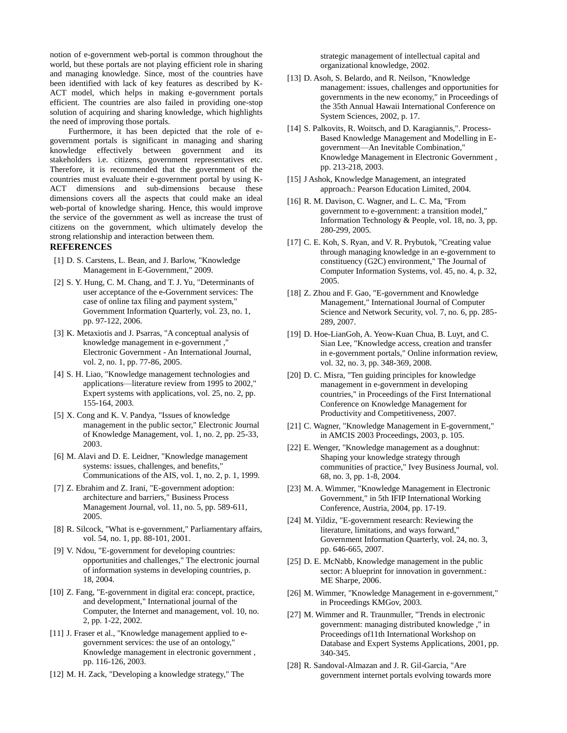notion of e-government web-portal is common throughout the world, but these portals are not playing efficient role in sharing and managing knowledge. Since, most of the countries have been identified with lack of key features as described by K-ACT model, which helps in making e-government portals efficient. The countries are also failed in providing one-stop solution of acquiring and sharing knowledge, which highlights the need of improving those portals.

Furthermore, it has been depicted that the role of egovernment portals is significant in managing and sharing knowledge effectively between government and its stakeholders i.e. citizens, government representatives etc. Therefore, it is recommended that the government of the countries must evaluate their e-government portal by using K-ACT dimensions and sub-dimensions because these dimensions covers all the aspects that could make an ideal web-portal of knowledge sharing. Hence, this would improve the service of the government as well as increase the trust of citizens on the government, which ultimately develop the strong relationship and interaction between them.

# **REFERENCES**

- <span id="page-5-0"></span>[1] D. S. Carstens, L. Bean, and J. Barlow, "Knowledge Management in E-Government," 2009.
- <span id="page-5-1"></span>[2] S. Y. Hung, C. M. Chang, and T. J. Yu, "Determinants of user acceptance of the e-Government services: The case of online tax filing and payment system," Government Information Quarterly, vol. 23, no. 1, pp. 97-122, 2006.
- <span id="page-5-2"></span>[3] K. Metaxiotis and J. Psarras, "A conceptual analysis of knowledge management in e-government ," Electronic Government - An International Journal, vol. 2, no. 1, pp. 77-86, 2005.
- <span id="page-5-3"></span>[4] S. H. Liao, "Knowledge management technologies and applications—literature review from 1995 to 2002," Expert systems with applications, vol. 25, no. 2, pp. 155-164, 2003.
- <span id="page-5-4"></span>[5] X. Cong and K. V. Pandya, "Issues of knowledge management in the public sector," Electronic Journal of Knowledge Management, vol. 1, no. 2, pp. 25-33, 2003.
- <span id="page-5-5"></span>[6] M. Alavi and D. E. Leidner, "Knowledge management systems: issues, challenges, and benefits," Communications of the AIS, vol. 1, no. 2, p. 1, 1999.
- <span id="page-5-6"></span>[7] Z. Ebrahim and Z. Irani, "E-government adoption: architecture and barriers," Business Process Management Journal, vol. 11, no. 5, pp. 589-611, 2005.
- <span id="page-5-7"></span>[8] R. Silcock, "What is e-government," Parliamentary affairs, vol. 54, no. 1, pp. 88-101, 2001.
- <span id="page-5-8"></span>[9] V. Ndou, "E-government for developing countries: opportunities and challenges," The electronic journal of information systems in developing countries, p. 18, 2004.
- <span id="page-5-9"></span>[10] Z. Fang, "E-government in digital era: concept, practice, and development," International journal of the Computer, the Internet and management, vol. 10, no. 2, pp. 1-22, 2002.
- <span id="page-5-10"></span>[11] J. Fraser et al., "Knowledge management applied to egovernment services: the use of an ontology," Knowledge management in electronic government , pp. 116-126, 2003.
- <span id="page-5-11"></span>[12] M. H. Zack, "Developing a knowledge strategy," The

strategic management of intellectual capital and organizational knowledge, 2002.

- <span id="page-5-12"></span>[13] D. Asoh, S. Belardo, and R. Neilson, "Knowledge management: issues, challenges and opportunities for governments in the new economy," in Proceedings of the 35th Annual Hawaii International Conference on System Sciences, 2002, p. 17.
- <span id="page-5-13"></span>[14] S. Palkovits, R. Woitsch, and D. Karagiannis,". Process-Based Knowledge Management and Modelling in Egovernment—An Inevitable Combination," Knowledge Management in Electronic Government , pp. 213-218, 2003.
- <span id="page-5-14"></span>[15] J Ashok, Knowledge Management, an integrated approach.: Pearson Education Limited, 2004.
- <span id="page-5-15"></span>[16] R. M. Davison, C. Wagner, and L. C. Ma, "From government to e-government: a transition model," Information Technology & People, vol. 18, no. 3, pp. 280-299, 2005.
- <span id="page-5-16"></span>[17] C. E. Koh, S. Ryan, and V. R. Prybutok, "Creating value through managing knowledge in an e-government to constituency (G2C) environment," The Journal of Computer Information Systems, vol. 45, no. 4, p. 32, 2005.
- <span id="page-5-17"></span>[18] Z. Zhou and F. Gao, "E-government and Knowledge Management," International Journal of Computer Science and Network Security, vol. 7, no. 6, pp. 285- 289, 2007.
- <span id="page-5-18"></span>[19] D. Hoe-LianGoh, A. Yeow-Kuan Chua, B. Luyt, and C. Sian Lee, "Knowledge access, creation and transfer in e-government portals," Online information review, vol. 32, no. 3, pp. 348-369, 2008.
- <span id="page-5-19"></span>[20] D. C. Misra, "Ten guiding principles for knowledge management in e-government in developing countries," in Proceedings of the First International Conference on Knowledge Management for Productivity and Competitiveness, 2007.
- <span id="page-5-20"></span>[21] C. Wagner, "Knowledge Management in E-government," in AMCIS 2003 Proceedings, 2003, p. 105.
- <span id="page-5-21"></span>[22] E. Wenger, "Knowledge management as a doughnut: Shaping your knowledge strategy through communities of practice," Ivey Business Journal, vol. 68, no. 3, pp. 1-8, 2004.
- <span id="page-5-22"></span>[23] M. A. Wimmer, "Knowledge Management in Electronic Government," in 5th IFIP International Working Conference, Austria, 2004, pp. 17-19.
- <span id="page-5-23"></span>[24] M. Yildiz, "E-government research: Reviewing the literature, limitations, and ways forward," Government Information Quarterly, vol. 24, no. 3, pp. 646-665, 2007.
- <span id="page-5-24"></span>[25] D. E. McNabb, Knowledge management in the public sector: A blueprint for innovation in government.: ME Sharpe, 2006.
- <span id="page-5-25"></span>[26] M. Wimmer, "Knowledge Management in e-government," in Proceedings KMGov, 2003.
- <span id="page-5-26"></span>[27] M. Wimmer and R. Traunmuller, "Trends in electronic government: managing distributed knowledge ," in Proceedings of11th International Workshop on Database and Expert Systems Applications, 2001, pp. 340-345.
- <span id="page-5-27"></span>[28] R. Sandoval-Almazan and J. R. Gil-Garcia, "Are government internet portals evolving towards more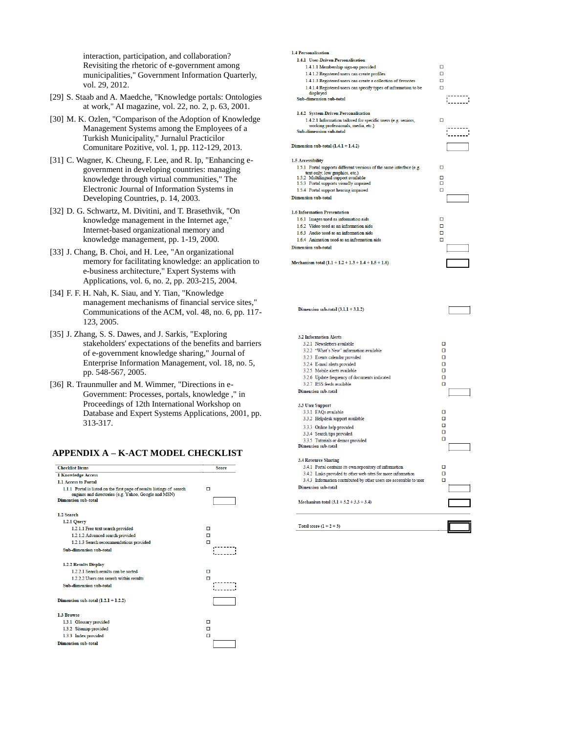interaction, participation, and collaboration? Revisiting the rhetoric of e-government among municipalities," Government Information Quarterly, vol. 29, 2012.

- <span id="page-6-0"></span>[29] S. Staab and A. Maedche, "Knowledge portals: Ontologies at work," AI magazine, vol. 22, no. 2, p. 63, 2001.
- <span id="page-6-1"></span>[30] M. K. Ozlen, "Comparison of the Adoption of Knowledge Management Systems among the Employees of a Turkish Municipality," Jurnalul Practicilor Comunitare Pozitive, vol. 1, pp. 112-129, 2013.
- <span id="page-6-2"></span>[31] C. Wagner, K. Cheung, F. Lee, and R. Ip, "Enhancing egovernment in developing countries: managing knowledge through virtual communities," The Electronic Journal of Information Systems in Developing Countries, p. 14, 2003.
- <span id="page-6-3"></span>[32] D. G. Schwartz, M. Divitini, and T. Brasethvik, "On knowledge management in the Internet age," Internet-based organizational memory and knowledge management, pp. 1-19, 2000.
- <span id="page-6-4"></span>[33] J. Chang, B. Choi, and H. Lee, "An organizational memory for facilitating knowledge: an application to e-business architecture," Expert Systems with Applications, vol. 6, no. 2, pp. 203-215, 2004.
- <span id="page-6-5"></span>[34] F. F. H. Nah, K. Siau, and Y. Tian, "Knowledge management mechanisms of financial service sites," Communications of the ACM, vol. 48, no. 6, pp. 117- 123, 2005.
- <span id="page-6-6"></span>[35] J. Zhang, S. S. Dawes, and J. Sarkis, "Exploring stakeholders' expectations of the benefits and barriers of e-government knowledge sharing," Journal of Enterprise Information Management, vol. 18, no. 5, pp. 548-567, 2005.
- <span id="page-6-7"></span>[36] R. Traunmuller and M. Wimmer, "Directions in e-Government: Processes, portals, knowledge ," in Proceedings of 12th International Workshop on Database and Expert Systems Applications, 2001, pp. 313-317.

# **APPENDIX A – K-ACT MODEL CHECKLIST**

| <b>Checklist Trems</b>                                                                                                         | <b>Score</b> |
|--------------------------------------------------------------------------------------------------------------------------------|--------------|
| 1 Knowledge Access                                                                                                             |              |
| <b>1.1 Access to Portal</b>                                                                                                    |              |
| 1.1.1 Portal is listed on the first page of results listings of search<br>engines and directories (e.g. Yahoo, Google and MSN) | п            |
| Dimension sub-total                                                                                                            |              |
| 1.2 Search                                                                                                                     |              |
| <b>1.2.1 Query</b>                                                                                                             |              |
| 1.2.1.1 Free text search provided                                                                                              | п            |
| 1.2.1.2 Advanced search provided                                                                                               | п            |
| 1.2.1.3 Search recommendations provided                                                                                        | п            |
| <b>Sub-dimension sub-total</b>                                                                                                 |              |
| 1.2.2 Results Display                                                                                                          |              |
| 1.2.2.1 Search results can be sorted.                                                                                          | п            |
| 1.2.2.2 Users can search within results                                                                                        | п            |
| <b>Sub-dimension sub-total</b>                                                                                                 |              |
| Dimension sub-total $(1.2.1 + 1.2.2)$                                                                                          |              |
| 1.3 Browse                                                                                                                     |              |
| 1.3.1 Glossary provided                                                                                                        | п            |
| 1.3.2 Sitemap provided                                                                                                         | п            |
| 1.3.3 Index provided                                                                                                           | п            |
| Dimension sub-total                                                                                                            |              |

#### 1.4.1 User-Driven Personalisation 1.4.1.1 Membership sign-up provided 1.4.1.2 Registered users can create profiles 1.4.1.3 Registered users can create a collection of favorites 1.4.1.4 Registered users can specify types of information to be

1.4 Personalisation

|                   | <b>Company Company</b>                                                                                 |   |
|-------------------|--------------------------------------------------------------------------------------------------------|---|
|                   | Sub-dimension sub-total                                                                                |   |
|                   | 1.4.2 System-Driven Personalisation                                                                    |   |
|                   | 1.4.2.1 Information tailored for specific users (e.g. seniors,<br>working professionals, media, etc.)  | п |
|                   | Sub-dimension sub-total                                                                                |   |
|                   | Dimension sub-total $(1.4.1 + 1.4.2)$                                                                  |   |
| 1.5 Accessibility |                                                                                                        |   |
|                   | 1.5.1 Portal supports different versions of the same interface (e.g.<br>text only, low graphics, etc.) | n |
|                   | 1.5.2 Multilingual support available                                                                   | п |
|                   | 1.5.3 Portal supports visually impaired                                                                | п |
|                   | 1.5.4 Portal support hearing impaired                                                                  | п |
|                   | Dimension sub-total                                                                                    |   |
|                   | <b>1.6 Information Presentation</b>                                                                    |   |
|                   | 1.6.1 Images used as information aids                                                                  | п |
|                   | 1.6.2 Video used as an information aids                                                                | п |
|                   | 1.6.3 Audio used as an information aids                                                                | п |
|                   | 1.6.4 Animation used as an information aids                                                            | п |
|                   | <b>Dimension sub-total</b>                                                                             |   |

 $\overline{a}$ 

 $\Box$ 

 $\Box$ 

 $\Box$ 

Mechanism total  $(1.1 + 1.2 + 1.3 + 1.4 + 1.5 + 1.6)$ 

Dimension sub-total  $(3.1.1 + 3.1.2)$ 

| <b>3.2 Information Alerts</b>                                       |   |
|---------------------------------------------------------------------|---|
| 3.2.1 Newsletters available                                         | п |
| 3.2.2. "What's New" information available                           | п |
| 3.2.3 Events calendar provided                                      | п |
| 3.2.4 E-mail alerts provided                                        | п |
| 3.2.5 Mobile alerts available                                       | п |
| 3.2.6 Update frequency of documents indicated                       | п |
| 3.2.7 RSS feeds available                                           | п |
| Dimension sub-total                                                 |   |
|                                                                     |   |
| 3.3 User Support                                                    |   |
| 3.3.1 FAOs available                                                | п |
| 3.3.2 Helpdesk support available                                    | п |
| 3.3.3 Online help provided                                          | п |
| 3.3.4 Search tips provided                                          | п |
| 3.3.5 Tutorials or demos provided                                   | п |
| Dimension sub-total                                                 |   |
|                                                                     |   |
| <b>3.4 Resource Sharing</b>                                         |   |
| 3.4.1 Portal contains its own repository of information             | п |
| 3.4.2 Links provided to other web sites for more information        | п |
| 3.4.3 Information contributed by other users are accessible to user | п |
| Dimension sub-total                                                 |   |
|                                                                     |   |
| Mechanism total $(3.1 + 3.2 + 3.3 + 3.4)$                           |   |
|                                                                     |   |
|                                                                     |   |
|                                                                     |   |
| Total score $(1 + 2 + 3)$                                           |   |